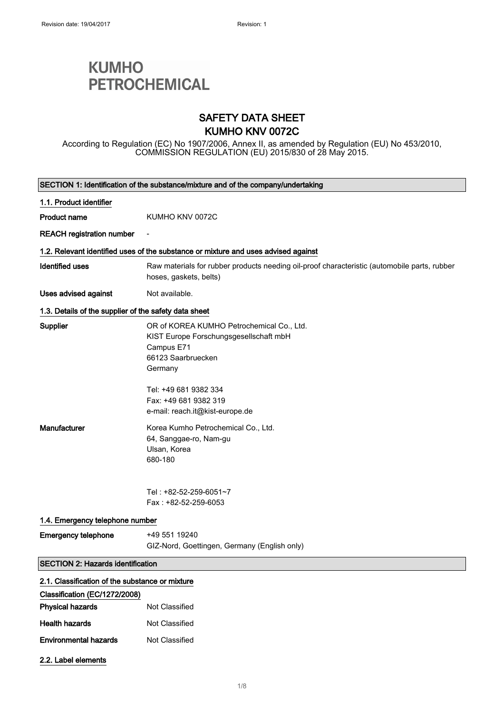2.2. Label elements

# **KUMHO PETROCHEMICAL**

### SAFETY DATA SHEET KUMHO KNV 0072C

According to Regulation (EC) No 1907/2006, Annex II, as amended by Regulation (EU) No 453/2010, COMMISSION REGULATION (EU) 2015/830 of 28 May 2015.

|                                                       | SECTION 1: Identification of the substance/mixture and of the company/undertaking                                                                                                    |
|-------------------------------------------------------|--------------------------------------------------------------------------------------------------------------------------------------------------------------------------------------|
| 1.1. Product identifier                               |                                                                                                                                                                                      |
| <b>Product name</b>                                   | KUMHO KNV 0072C                                                                                                                                                                      |
| <b>REACH registration number</b>                      |                                                                                                                                                                                      |
|                                                       | 1.2. Relevant identified uses of the substance or mixture and uses advised against                                                                                                   |
| <b>Identified uses</b>                                | Raw materials for rubber products needing oil-proof characteristic (automobile parts, rubber<br>hoses, gaskets, belts)                                                               |
| Uses advised against                                  | Not available.                                                                                                                                                                       |
| 1.3. Details of the supplier of the safety data sheet |                                                                                                                                                                                      |
| Supplier                                              | OR of KOREA KUMHO Petrochemical Co., Ltd.<br>KIST Europe Forschungsgesellschaft mbH<br>Campus E71<br>66123 Saarbruecken<br>Germany<br>Tel: +49 681 9382 334<br>Fax: +49 681 9382 319 |
| Manufacturer                                          | e-mail: reach.it@kist-europe.de<br>Korea Kumho Petrochemical Co., Ltd.<br>64, Sanggae-ro, Nam-gu<br>Ulsan, Korea<br>680-180                                                          |
| 1.4. Emergency telephone number                       | Tel:+82-52-259-6051~7<br>Fax: +82-52-259-6053                                                                                                                                        |
| <b>Emergency telephone</b>                            | +49 551 19240                                                                                                                                                                        |
|                                                       | GIZ-Nord, Goettingen, Germany (English only)                                                                                                                                         |
| <b>SECTION 2: Hazards identification</b>              |                                                                                                                                                                                      |
| 2.1. Classification of the substance or mixture       |                                                                                                                                                                                      |
| Classification (EC/1272/2008)                         |                                                                                                                                                                                      |
| <b>Physical hazards</b>                               | Not Classified                                                                                                                                                                       |
| <b>Health hazards</b>                                 | Not Classified                                                                                                                                                                       |
| <b>Environmental hazards</b>                          | Not Classified                                                                                                                                                                       |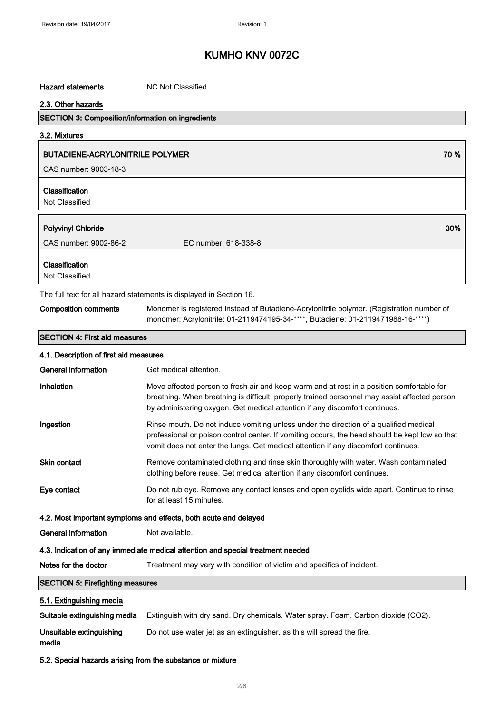#### Hazard statements MC Not Classified

#### 2.3. Other hazards

### SECTION 3: Composition/information on ingredients

3.2. Mixtures

#### BUTADIENE-ACRYLONITRILE POLYMER **1999 - 1999 - 1999 - 1999 - 1999 - 1999 - 1999** - 1999 - 1999 - 1999 - 1999 - 1

CAS number: 9003-18-3

### Classification

Not Classified

| <b>Polyvinyl Chloride</b>                                           | 30%                  |
|---------------------------------------------------------------------|----------------------|
| CAS number: 9002-86-2                                               | EC number: 618-338-8 |
| <b>Classification</b><br>Not Classified                             |                      |
| The full text for all hazard statements is displayed in Section 16. |                      |

### Composition comments Monomer is registered instead of Butadiene-Acrylonitrile polymer. (Registration number of monomer: Acrylonitrile: 01-2119474195-34-\*\*\*\*, Butadiene: 01-2119471988-16-\*\*\*\*)

#### SECTION 4: First aid measures

| 4.1. Description of first aid measures                     |                                                                                                                                                                                                                                                                               |
|------------------------------------------------------------|-------------------------------------------------------------------------------------------------------------------------------------------------------------------------------------------------------------------------------------------------------------------------------|
| <b>General information</b>                                 | Get medical attention.                                                                                                                                                                                                                                                        |
| Inhalation                                                 | Move affected person to fresh air and keep warm and at rest in a position comfortable for<br>breathing. When breathing is difficult, properly trained personnel may assist affected person<br>by administering oxygen. Get medical attention if any discomfort continues.     |
| Ingestion                                                  | Rinse mouth. Do not induce vomiting unless under the direction of a qualified medical<br>professional or poison control center. If vomiting occurs, the head should be kept low so that<br>vomit does not enter the lungs. Get medical attention if any discomfort continues. |
| <b>Skin contact</b>                                        | Remove contaminated clothing and rinse skin thoroughly with water. Wash contaminated<br>clothing before reuse. Get medical attention if any discomfort continues.                                                                                                             |
| Eye contact                                                | Do not rub eye. Remove any contact lenses and open eyelids wide apart. Continue to rinse<br>for at least 15 minutes.                                                                                                                                                          |
|                                                            | 4.2. Most important symptoms and effects, both acute and delayed                                                                                                                                                                                                              |
| <b>General information</b>                                 | Not available.                                                                                                                                                                                                                                                                |
|                                                            | 4.3. Indication of any immediate medical attention and special treatment needed                                                                                                                                                                                               |
| Notes for the doctor                                       | Treatment may vary with condition of victim and specifics of incident.                                                                                                                                                                                                        |
| <b>SECTION 5: Firefighting measures</b>                    |                                                                                                                                                                                                                                                                               |
| 5.1. Extinguishing media                                   |                                                                                                                                                                                                                                                                               |
| Suitable extinguishing media                               | Extinguish with dry sand. Dry chemicals. Water spray. Foam. Carbon dioxide (CO2).                                                                                                                                                                                             |
| Unsuitable extinguishing<br>media                          | Do not use water jet as an extinguisher, as this will spread the fire.                                                                                                                                                                                                        |
| 5.2. Special hazards arising from the substance or mixture |                                                                                                                                                                                                                                                                               |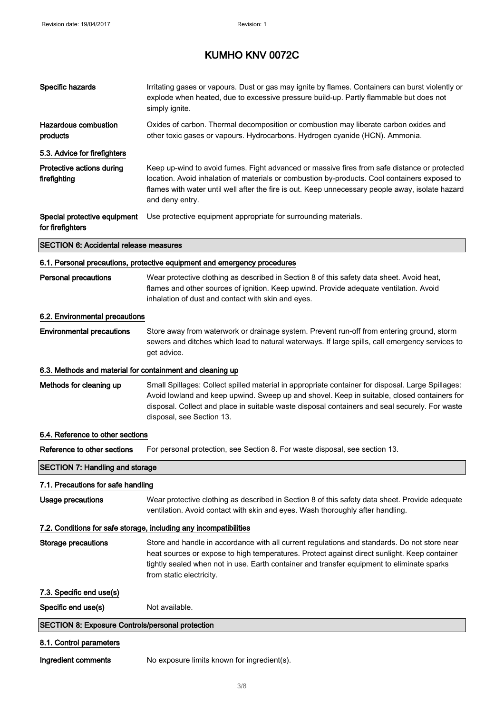| Specific hazards                                          | Irritating gases or vapours. Dust or gas may ignite by flames. Containers can burst violently or<br>explode when heated, due to excessive pressure build-up. Partly flammable but does not<br>simply ignite.                                                                                                                    |
|-----------------------------------------------------------|---------------------------------------------------------------------------------------------------------------------------------------------------------------------------------------------------------------------------------------------------------------------------------------------------------------------------------|
| <b>Hazardous combustion</b><br>products                   | Oxides of carbon. Thermal decomposition or combustion may liberate carbon oxides and<br>other toxic gases or vapours. Hydrocarbons. Hydrogen cyanide (HCN). Ammonia.                                                                                                                                                            |
| 5.3. Advice for firefighters                              |                                                                                                                                                                                                                                                                                                                                 |
| Protective actions during<br>firefighting                 | Keep up-wind to avoid fumes. Fight advanced or massive fires from safe distance or protected<br>location. Avoid inhalation of materials or combustion by-products. Cool containers exposed to<br>flames with water until well after the fire is out. Keep unnecessary people away, isolate hazard<br>and deny entry.            |
| Special protective equipment<br>for firefighters          | Use protective equipment appropriate for surrounding materials.                                                                                                                                                                                                                                                                 |
| <b>SECTION 6: Accidental release measures</b>             |                                                                                                                                                                                                                                                                                                                                 |
|                                                           | 6.1. Personal precautions, protective equipment and emergency procedures                                                                                                                                                                                                                                                        |
| <b>Personal precautions</b>                               | Wear protective clothing as described in Section 8 of this safety data sheet. Avoid heat,<br>flames and other sources of ignition. Keep upwind. Provide adequate ventilation. Avoid<br>inhalation of dust and contact with skin and eyes.                                                                                       |
| 6.2. Environmental precautions                            |                                                                                                                                                                                                                                                                                                                                 |
| <b>Environmental precautions</b>                          | Store away from waterwork or drainage system. Prevent run-off from entering ground, storm<br>sewers and ditches which lead to natural waterways. If large spills, call emergency services to<br>get advice.                                                                                                                     |
| 6.3. Methods and material for containment and cleaning up |                                                                                                                                                                                                                                                                                                                                 |
| Methods for cleaning up                                   | Small Spillages: Collect spilled material in appropriate container for disposal. Large Spillages:<br>Avoid lowland and keep upwind. Sweep up and shovel. Keep in suitable, closed containers for<br>disposal. Collect and place in suitable waste disposal containers and seal securely. For waste<br>disposal, see Section 13. |
| 6.4. Reference to other sections                          |                                                                                                                                                                                                                                                                                                                                 |
| Reference to other sections                               | For personal protection, see Section 8. For waste disposal, see section 13.                                                                                                                                                                                                                                                     |
| <b>SECTION 7: Handling and storage</b>                    |                                                                                                                                                                                                                                                                                                                                 |
| 7.1. Precautions for safe handling                        |                                                                                                                                                                                                                                                                                                                                 |
| Usage precautions                                         | Wear protective clothing as described in Section 8 of this safety data sheet. Provide adequate<br>ventilation. Avoid contact with skin and eyes. Wash thoroughly after handling.                                                                                                                                                |
|                                                           | 7.2. Conditions for safe storage, including any incompatibilities                                                                                                                                                                                                                                                               |
| <b>Storage precautions</b>                                | Store and handle in accordance with all current regulations and standards. Do not store near<br>heat sources or expose to high temperatures. Protect against direct sunlight. Keep container<br>tightly sealed when not in use. Earth container and transfer equipment to eliminate sparks<br>from static electricity.          |
| 7.3. Specific end use(s)                                  |                                                                                                                                                                                                                                                                                                                                 |
| Specific end use(s)                                       | Not available.                                                                                                                                                                                                                                                                                                                  |
| <b>SECTION 8: Exposure Controls/personal protection</b>   |                                                                                                                                                                                                                                                                                                                                 |
| 8.1. Control parameters                                   |                                                                                                                                                                                                                                                                                                                                 |
| Ingredient comments                                       | No exposure limits known for ingredient(s).                                                                                                                                                                                                                                                                                     |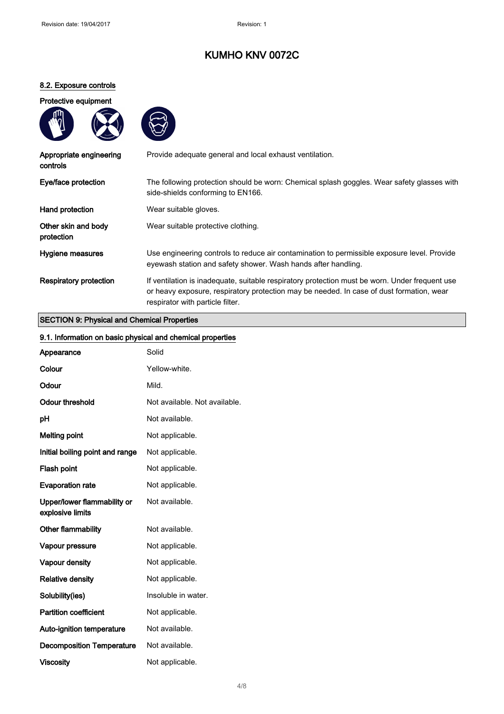### 8.2. Exposure controls

### Protective equipment





| Appropriate engineering<br>controls | Provide adequate general and local exhaust ventilation.                                                                                                                                                                        |
|-------------------------------------|--------------------------------------------------------------------------------------------------------------------------------------------------------------------------------------------------------------------------------|
| Eye/face protection                 | The following protection should be worn: Chemical splash goggles. Wear safety glasses with<br>side-shields conforming to EN166.                                                                                                |
| Hand protection                     | Wear suitable gloves.                                                                                                                                                                                                          |
| Other skin and body<br>protection   | Wear suitable protective clothing.                                                                                                                                                                                             |
| Hygiene measures                    | Use engineering controls to reduce air contamination to permissible exposure level. Provide<br>eyewash station and safety shower. Wash hands after handling.                                                                   |
| <b>Respiratory protection</b>       | If ventilation is inadequate, suitable respiratory protection must be worn. Under frequent use<br>or heavy exposure, respiratory protection may be needed. In case of dust formation, wear<br>respirator with particle filter. |

### SECTION 9: Physical and Chemical Properties

| 9.1. Information on basic physical and chemical properties |                               |
|------------------------------------------------------------|-------------------------------|
| Appearance                                                 | Solid                         |
| Colour                                                     | Yellow-white.                 |
| Odour                                                      | Mild.                         |
| <b>Odour threshold</b>                                     | Not available. Not available. |
| pH                                                         | Not available.                |
| <b>Melting point</b>                                       | Not applicable.               |
| Initial boiling point and range                            | Not applicable.               |
| Flash point                                                | Not applicable.               |
| <b>Evaporation rate</b>                                    | Not applicable.               |
| Upper/lower flammability or<br>explosive limits            | Not available.                |
| Other flammability                                         | Not available.                |
| Vapour pressure                                            | Not applicable.               |
| Vapour density                                             | Not applicable.               |
| <b>Relative density</b>                                    | Not applicable.               |
| Solubility(ies)                                            | Insoluble in water.           |
| <b>Partition coefficient</b>                               | Not applicable.               |
| Auto-ignition temperature                                  | Not available.                |
| <b>Decomposition Temperature</b>                           | Not available.                |
| <b>Viscosity</b>                                           | Not applicable.               |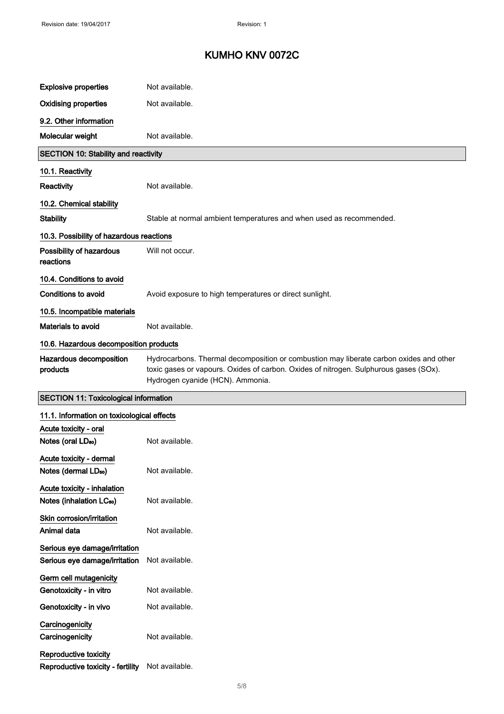| <b>Explosive properties</b>                                         | Not available.                                                                                                                                                                                                      |
|---------------------------------------------------------------------|---------------------------------------------------------------------------------------------------------------------------------------------------------------------------------------------------------------------|
| <b>Oxidising properties</b>                                         | Not available.                                                                                                                                                                                                      |
| 9.2. Other information                                              |                                                                                                                                                                                                                     |
| Molecular weight                                                    | Not available.                                                                                                                                                                                                      |
| <b>SECTION 10: Stability and reactivity</b>                         |                                                                                                                                                                                                                     |
| 10.1. Reactivity                                                    |                                                                                                                                                                                                                     |
| Reactivity                                                          | Not available.                                                                                                                                                                                                      |
| 10.2. Chemical stability                                            |                                                                                                                                                                                                                     |
| <b>Stability</b>                                                    | Stable at normal ambient temperatures and when used as recommended.                                                                                                                                                 |
| 10.3. Possibility of hazardous reactions                            |                                                                                                                                                                                                                     |
| Possibility of hazardous<br>reactions                               | Will not occur.                                                                                                                                                                                                     |
| 10.4. Conditions to avoid                                           |                                                                                                                                                                                                                     |
| <b>Conditions to avoid</b>                                          | Avoid exposure to high temperatures or direct sunlight.                                                                                                                                                             |
| 10.5. Incompatible materials                                        |                                                                                                                                                                                                                     |
| Materials to avoid                                                  | Not available.                                                                                                                                                                                                      |
| 10.6. Hazardous decomposition products                              |                                                                                                                                                                                                                     |
| Hazardous decomposition<br>products                                 | Hydrocarbons. Thermal decomposition or combustion may liberate carbon oxides and other<br>toxic gases or vapours. Oxides of carbon. Oxides of nitrogen. Sulphurous gases (SOx).<br>Hydrogen cyanide (HCN). Ammonia. |
| <b>SECTION 11: Toxicological information</b>                        |                                                                                                                                                                                                                     |
| 11.1. Information on toxicological effects                          |                                                                                                                                                                                                                     |
| Acute toxicity - oral                                               |                                                                                                                                                                                                                     |
| Notes (oral LD <sub>50</sub> )                                      | Not available.                                                                                                                                                                                                      |
| Acute toxicity - dermal<br>Notes (dermal LD <sub>50</sub> )         | Not available.                                                                                                                                                                                                      |
| Acute toxicity - inhalation<br>Notes (inhalation LC <sub>50</sub> ) | Not available.                                                                                                                                                                                                      |
| Skin corrosion/irritation<br>Animal data                            | Not available.                                                                                                                                                                                                      |
| Serious eye damage/irritation<br>Serious eye damage/irritation      | Not available.                                                                                                                                                                                                      |
| Germ cell mutagenicity                                              |                                                                                                                                                                                                                     |
| Genotoxicity - in vitro                                             |                                                                                                                                                                                                                     |
|                                                                     | Not available.                                                                                                                                                                                                      |
| Genotoxicity - in vivo                                              | Not available.                                                                                                                                                                                                      |
| Carcinogenicity<br>Carcinogenicity                                  | Not available.                                                                                                                                                                                                      |

5/ 8

Reproductive toxicity - fertility Not available.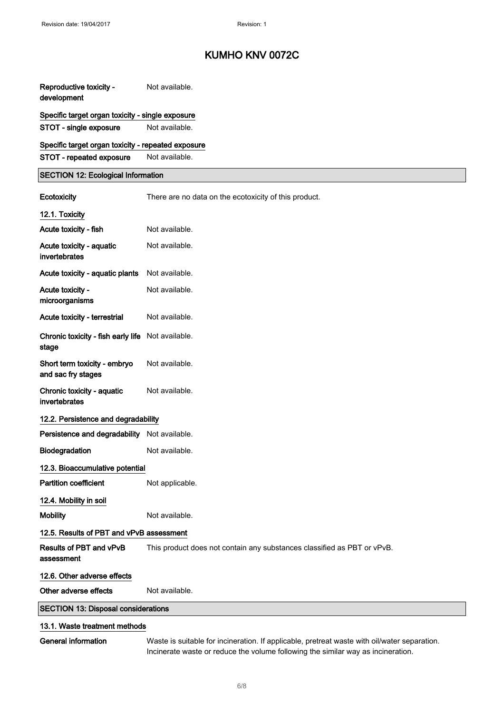| Reproductive toxicity -<br>development                                         | Not available.                                                                               |
|--------------------------------------------------------------------------------|----------------------------------------------------------------------------------------------|
| Specific target organ toxicity - single exposure<br>STOT - single exposure     | Not available.                                                                               |
| Specific target organ toxicity - repeated exposure<br>STOT - repeated exposure | Not available.                                                                               |
| <b>SECTION 12: Ecological Information</b>                                      |                                                                                              |
| Ecotoxicity                                                                    | There are no data on the ecotoxicity of this product.                                        |
| 12.1. Toxicity                                                                 |                                                                                              |
| Acute toxicity - fish                                                          | Not available.                                                                               |
| Acute toxicity - aquatic<br>invertebrates                                      | Not available.                                                                               |
| Acute toxicity - aquatic plants                                                | Not available.                                                                               |
| Acute toxicity -<br>microorganisms                                             | Not available.                                                                               |
| Acute toxicity - terrestrial                                                   | Not available.                                                                               |
| Chronic toxicity - fish early life Not available.<br>stage                     |                                                                                              |
| Short term toxicity - embryo<br>and sac fry stages                             | Not available.                                                                               |
| Chronic toxicity - aquatic<br>invertebrates                                    | Not available.                                                                               |
| 12.2. Persistence and degradability                                            |                                                                                              |
| Persistence and degradability                                                  | Not available.                                                                               |
| Biodegradation                                                                 | Not available.                                                                               |
| 12.3. Bioaccumulative potential                                                |                                                                                              |
| <b>Partition coefficient</b>                                                   | Not applicable.                                                                              |
| 12.4. Mobility in soil                                                         |                                                                                              |
| <b>Mobility</b>                                                                | Not available.                                                                               |
| 12.5. Results of PBT and vPvB assessment                                       |                                                                                              |
| Results of PBT and vPvB<br>assessment                                          | This product does not contain any substances classified as PBT or vPvB.                      |
| 12.6. Other adverse effects                                                    |                                                                                              |
| Other adverse effects                                                          | Not available.                                                                               |
| <b>SECTION 13: Disposal considerations</b>                                     |                                                                                              |
| 13.1. Waste treatment methods                                                  |                                                                                              |
| General information                                                            | Waste is suitable for incineration. If applicable, pretreat waste with oil/water separation. |

Incinerate waste or reduce the volume following the similar way as incineration.

6/ 8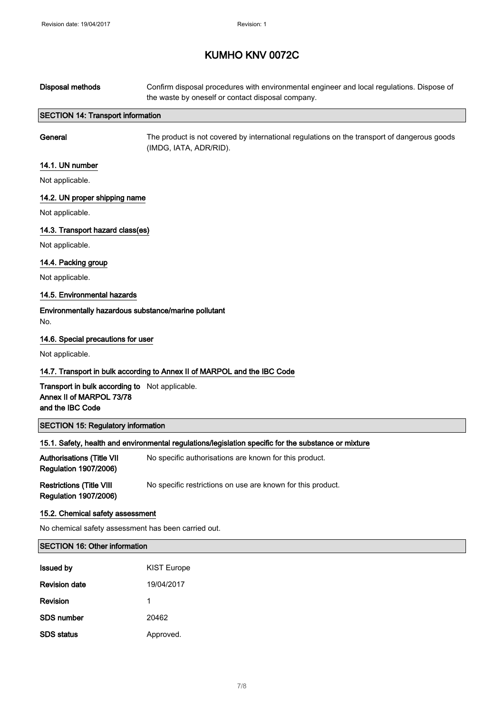| <b>Disposal methods</b>                                                                        | Confirm disposal procedures with environmental engineer and local regulations. Dispose of<br>the waste by oneself or contact disposal company. |
|------------------------------------------------------------------------------------------------|------------------------------------------------------------------------------------------------------------------------------------------------|
| <b>SECTION 14: Transport information</b>                                                       |                                                                                                                                                |
| General                                                                                        | The product is not covered by international regulations on the transport of dangerous goods<br>(IMDG, IATA, ADR/RID).                          |
| 14.1. UN number                                                                                |                                                                                                                                                |
| Not applicable.                                                                                |                                                                                                                                                |
| 14.2. UN proper shipping name                                                                  |                                                                                                                                                |
| Not applicable.                                                                                |                                                                                                                                                |
| 14.3. Transport hazard class(es)                                                               |                                                                                                                                                |
| Not applicable.                                                                                |                                                                                                                                                |
| 14.4. Packing group                                                                            |                                                                                                                                                |
| Not applicable.                                                                                |                                                                                                                                                |
| 14.5. Environmental hazards                                                                    |                                                                                                                                                |
| Environmentally hazardous substance/marine pollutant<br>No.                                    |                                                                                                                                                |
| 14.6. Special precautions for user                                                             |                                                                                                                                                |
| Not applicable.                                                                                |                                                                                                                                                |
|                                                                                                | 14.7. Transport in bulk according to Annex II of MARPOL and the IBC Code                                                                       |
| Transport in bulk according to Not applicable.<br>Annex II of MARPOL 73/78<br>and the IBC Code |                                                                                                                                                |
| <b>SECTION 15: Regulatory information</b>                                                      |                                                                                                                                                |
|                                                                                                | 15.1. Safety, health and environmental regulations/legislation specific for the substance or mixture                                           |
| <b>Authorisations (Title VII</b><br><b>Regulation 1907/2006)</b>                               | No specific authorisations are known for this product.                                                                                         |
| <b>Restrictions (Title VIII</b><br><b>Regulation 1907/2006)</b>                                | No specific restrictions on use are known for this product.                                                                                    |
| 15.2. Chemical safety assessment                                                               |                                                                                                                                                |
| No chemical safety assessment has been carried out.                                            |                                                                                                                                                |
| <b>SECTION 16: Other information</b>                                                           |                                                                                                                                                |
| <b>Issued by</b>                                                                               | <b>KIST Europe</b>                                                                                                                             |
| <b>Revision date</b>                                                                           | 19/04/2017                                                                                                                                     |
| Revision                                                                                       | 1                                                                                                                                              |